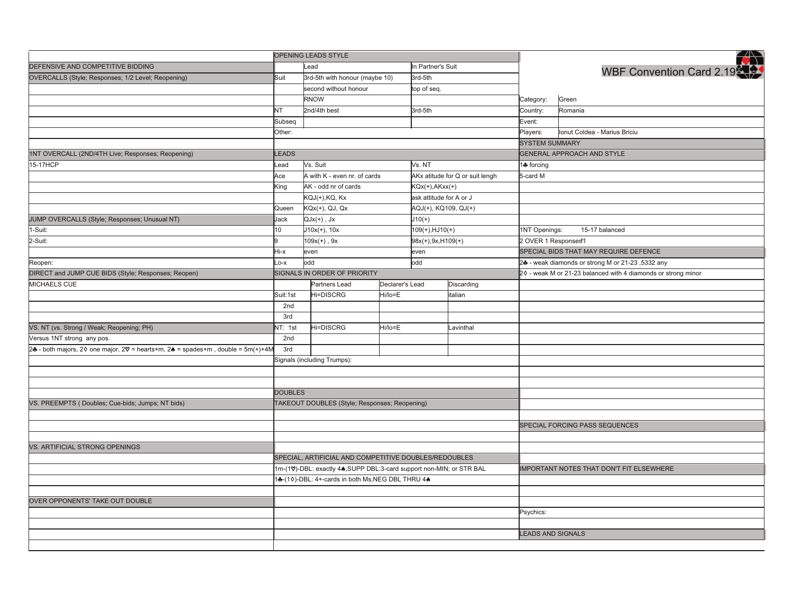|                                                                                 | OPENING LEADS STYLE                              |                                                                      |         | 2.                      |                                 |                                                  |                                                               |
|---------------------------------------------------------------------------------|--------------------------------------------------|----------------------------------------------------------------------|---------|-------------------------|---------------------------------|--------------------------------------------------|---------------------------------------------------------------|
| DEFENSIVE AND COMPETITIVE BIDDING                                               |                                                  | Lead                                                                 |         | In Partner's Suit       |                                 |                                                  | WBF Convention Card 2.19                                      |
| OVERCALLS (Style; Responses; 1/2 Level; Reopening)                              |                                                  | 3rd-5th with honour (maybe 10)                                       |         | 3rd-5th                 |                                 |                                                  |                                                               |
|                                                                                 |                                                  | second without honour                                                |         | top of seq.             |                                 |                                                  |                                                               |
|                                                                                 |                                                  | <b>RNOW</b>                                                          |         |                         |                                 | Category:                                        | Green                                                         |
|                                                                                 | NT                                               | 2nd/4th best                                                         |         | 3rd-5th                 |                                 | Country:                                         | Romania                                                       |
|                                                                                 | Subseq                                           |                                                                      |         |                         |                                 | Event:                                           |                                                               |
|                                                                                 | Other:                                           |                                                                      |         |                         |                                 | Players:                                         | Ionut Coldea - Marius Briciu                                  |
|                                                                                 |                                                  |                                                                      |         |                         |                                 | <b>SYSTEM SUMMARY</b>                            |                                                               |
| 1NT OVERCALL (2ND/4TH Live; Responses; Reopening)                               | LEADS                                            |                                                                      |         |                         |                                 |                                                  | <b>GENERAL APPROACH AND STYLE</b>                             |
| 15-17HCP                                                                        | Lead                                             | Vs. Suit                                                             |         | Vs. NT                  |                                 | 1♣ forcing                                       |                                                               |
|                                                                                 | Ace                                              | A with K - even nr. of cards                                         |         |                         | AKx atitude for Q or suit lengh | 5-card M                                         |                                                               |
|                                                                                 | King                                             | AK - odd nr of cards                                                 |         | $KQx(+), AKxx(+)$       |                                 |                                                  |                                                               |
|                                                                                 |                                                  | KQJ(+),KQ, Kx                                                        |         | ask attitude for A or J |                                 |                                                  |                                                               |
|                                                                                 | Queen                                            | $KQx(+)$ , QJ, Qx                                                    |         | AQJ(+), KQ109, QJ(+)    |                                 |                                                  |                                                               |
| JUMP OVERCALLS (Style; Responses; Unusual NT)                                   | Jack                                             | $QJx(+)$ , $Jx$                                                      |         | $J10(+)$                |                                 |                                                  |                                                               |
| 1-Suit:                                                                         | 10                                               | $J10x(+)$ , 10x                                                      |         | $109(+), HJ10(+)$       |                                 | 1NT Openings:                                    | 15-17 balanced                                                |
| 2-Suit:                                                                         |                                                  | 109x(+) , 9x                                                         |         | $98x(+), 9x, H109(+)$   |                                 | 2 OVER 1 Responsesf1                             |                                                               |
|                                                                                 | Hi-x                                             | even                                                                 |         | even                    |                                 |                                                  | SPECIAL BIDS THAT MAY REQUIRE DEFENCE                         |
| Reopen:                                                                         | Lo-x                                             | odd                                                                  |         | lodd                    |                                 | 2♣ - weak diamonds or strong M or 21-23,5332 any |                                                               |
| DIRECT and JUMP CUE BIDS (Style; Responses; Reopen)                             |                                                  | SIGNALS IN ORDER OF PRIORITY                                         |         |                         |                                 |                                                  | 20 - weak M or 21-23 balanced with 4 diamonds or strong minor |
| MICHAELS CUE                                                                    |                                                  | Partners Lead<br>Declarer's Lead                                     |         |                         | Discarding                      |                                                  |                                                               |
|                                                                                 | Suit:1st                                         | Hi=DISCRG                                                            | Hi/lo=E |                         | italian                         |                                                  |                                                               |
|                                                                                 | 2nd                                              |                                                                      |         |                         |                                 |                                                  |                                                               |
|                                                                                 | 3rd                                              |                                                                      |         |                         |                                 |                                                  |                                                               |
| VS. NT (vs. Strong / Weak; Reopening; PH)                                       | NT: 1st                                          | Hi=DISCRG                                                            | Hi/lo=E |                         | Lavinthal                       |                                                  |                                                               |
| Versus 1NT strong any pos.                                                      | 2nd                                              |                                                                      |         |                         |                                 |                                                  |                                                               |
| 2♣ - both majors, 2♦ one major, 2♥ = hearts+m, 2♠ = spades+m, double = 5m(+)+4M | 3rd                                              |                                                                      |         |                         |                                 |                                                  |                                                               |
|                                                                                 | Signals (including Trumps):                      |                                                                      |         |                         |                                 |                                                  |                                                               |
|                                                                                 |                                                  |                                                                      |         |                         |                                 |                                                  |                                                               |
|                                                                                 |                                                  |                                                                      |         |                         |                                 |                                                  |                                                               |
|                                                                                 | <b>DOUBLES</b>                                   |                                                                      |         |                         |                                 |                                                  |                                                               |
| VS. PREEMPTS (Doubles; Cue-bids; Jumps; NT bids)                                |                                                  | TAKEOUT DOUBLES (Style; Responses; Reopening)                        |         |                         |                                 |                                                  |                                                               |
|                                                                                 |                                                  |                                                                      |         |                         |                                 |                                                  |                                                               |
|                                                                                 |                                                  |                                                                      |         |                         |                                 |                                                  | SPECIAL FORCING PASS SEQUENCES                                |
|                                                                                 |                                                  |                                                                      |         |                         |                                 |                                                  |                                                               |
| VS. ARTIFICIAL STRONG OPENINGS                                                  |                                                  |                                                                      |         |                         |                                 |                                                  |                                                               |
|                                                                                 |                                                  | SPECIAL, ARTIFICIAL AND COMPETITIVE DOUBLES/REDOUBLES                |         |                         |                                 |                                                  |                                                               |
|                                                                                 |                                                  | 1m-(10)-DBL: exactly 44, SUPP DBL:3-card support non-MIN; or STR BAL |         |                         |                                 |                                                  | <b>IMPORTANT NOTES THAT DON'T FIT ELSEWHERE</b>               |
|                                                                                 | 44-(10)-DBL: 4+-cards in both Ms, NEG DBL THRU 4 |                                                                      |         |                         |                                 |                                                  |                                                               |
|                                                                                 |                                                  |                                                                      |         |                         |                                 |                                                  |                                                               |
| OVER OPPONENTS' TAKE OUT DOUBLE                                                 |                                                  |                                                                      |         |                         |                                 |                                                  |                                                               |
|                                                                                 |                                                  |                                                                      |         |                         |                                 | Psychics:                                        |                                                               |
|                                                                                 |                                                  |                                                                      |         |                         |                                 |                                                  |                                                               |
|                                                                                 |                                                  |                                                                      |         |                         |                                 | <b>LEADS AND SIGNALS</b>                         |                                                               |
|                                                                                 |                                                  |                                                                      |         |                         |                                 |                                                  |                                                               |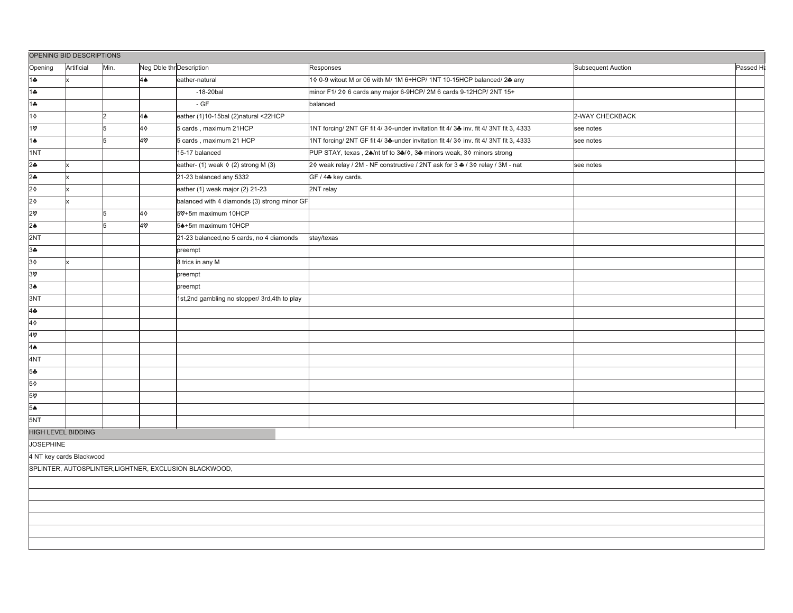|                             |                          |      |     | OPENING BID DESCRIPTIONS                               |                                                                                      |                    |          |  |
|-----------------------------|--------------------------|------|-----|--------------------------------------------------------|--------------------------------------------------------------------------------------|--------------------|----------|--|
| Opening                     | Artificial               | Min. |     | Neg Dble thr Description                               | Responses                                                                            | Subsequent Auction | Passed H |  |
| 1♣                          |                          |      | 4▲  | eather-natural                                         | 10 0-9 witout M or 06 with M/ 1M 6+HCP/ 1NT 10-15HCP balanced/ 24 any                |                    |          |  |
| $\overline{1+}$             |                          |      |     | $-18-20$ bal                                           | minor F1/20 6 cards any major 6-9HCP/2M 6 cards 9-12HCP/2NT 15+                      |                    |          |  |
| 1♣                          |                          |      |     | $-GF$                                                  | balanced                                                                             |                    |          |  |
| $\overline{10}$             |                          |      | 4≜  | eather (1)10-15bal (2)natural <22HCP                   |                                                                                      | 2-WAY CHECKBACK    |          |  |
| 18                          |                          |      | 40  | 5 cards, maximum 21HCP                                 | 1NT forcing/ 2NT GF fit 4/ 30-under invitation fit 4/ 3♣ inv. fit 4/ 3NT fit 3, 4333 | see notes          |          |  |
| 1≜                          |                          |      | 4ত  | 5 cards, maximum 21 HCP                                | 1NT forcing/ 2NT GF fit 4/34-under invitation fit 4/30 inv. fit 4/3NT fit 3, 4333    | see notes          |          |  |
| 1NT                         |                          |      |     | 15-17 balanced                                         | PUP STAY, texas , 24/nt trf to 34/0, 34 minors weak, 30 minors strong                |                    |          |  |
| 2♣                          |                          |      |     | eather- (1) weak $\Diamond$ (2) strong M (3)           | 20 weak relay / 2M - NF constructive / 2NT ask for 3 ♣ / 30 relay / 3M - nat         | see notes          |          |  |
| $\overline{2\clubsuit}$     |                          |      |     | 21-23 balanced any 5332                                | GF / 4- key cards.                                                                   |                    |          |  |
| $\overline{20}$             |                          |      |     | eather $(1)$ weak major $(2)$ 21-23                    | 2NT relay                                                                            |                    |          |  |
| $\overline{20}$             |                          |      |     | balanced with 4 diamonds (3) strong minor GF           |                                                                                      |                    |          |  |
| $\overline{2\triangledown}$ |                          |      | 40  | 50+5m maximum 10HCP                                    |                                                                                      |                    |          |  |
| $2\bullet$                  |                          |      | ∣4౪ | 5 <sup>+5m</sup> maximum 10HCP                         |                                                                                      |                    |          |  |
| 2NT                         |                          |      |     | 21-23 balanced, no 5 cards, no 4 diamonds              | stay/texas                                                                           |                    |          |  |
| $3+$                        |                          |      |     | preempt                                                |                                                                                      |                    |          |  |
| 30                          |                          |      |     | 8 trics in any M                                       |                                                                                      |                    |          |  |
| $\overline{38}$             |                          |      |     | preempt                                                |                                                                                      |                    |          |  |
| $3\bullet$                  |                          |      |     | preempt                                                |                                                                                      |                    |          |  |
| 3NT                         |                          |      |     | 1st,2nd gambling no stopper/ 3rd,4th to play           |                                                                                      |                    |          |  |
| 4♣                          |                          |      |     |                                                        |                                                                                      |                    |          |  |
| $\overline{40}$             |                          |      |     |                                                        |                                                                                      |                    |          |  |
| 48                          |                          |      |     |                                                        |                                                                                      |                    |          |  |
| 4▲                          |                          |      |     |                                                        |                                                                                      |                    |          |  |
| <b>4NT</b>                  |                          |      |     |                                                        |                                                                                      |                    |          |  |
| $5+$                        |                          |      |     |                                                        |                                                                                      |                    |          |  |
| $\overline{50}$             |                          |      |     |                                                        |                                                                                      |                    |          |  |
| 50                          |                          |      |     |                                                        |                                                                                      |                    |          |  |
| $5\bullet$                  |                          |      |     |                                                        |                                                                                      |                    |          |  |
| 5NT                         |                          |      |     |                                                        |                                                                                      |                    |          |  |
| <b>HIGH LEVEL BIDDING</b>   |                          |      |     |                                                        |                                                                                      |                    |          |  |
| <b>JOSEPHINE</b>            |                          |      |     |                                                        |                                                                                      |                    |          |  |
|                             | 4 NT key cards Blackwood |      |     |                                                        |                                                                                      |                    |          |  |
|                             |                          |      |     | SPLINTER, AUTOSPLINTER, LIGHTNER, EXCLUSION BLACKWOOD, |                                                                                      |                    |          |  |
|                             |                          |      |     |                                                        |                                                                                      |                    |          |  |
|                             |                          |      |     |                                                        |                                                                                      |                    |          |  |
|                             |                          |      |     |                                                        |                                                                                      |                    |          |  |
|                             |                          |      |     |                                                        |                                                                                      |                    |          |  |
|                             |                          |      |     |                                                        |                                                                                      |                    |          |  |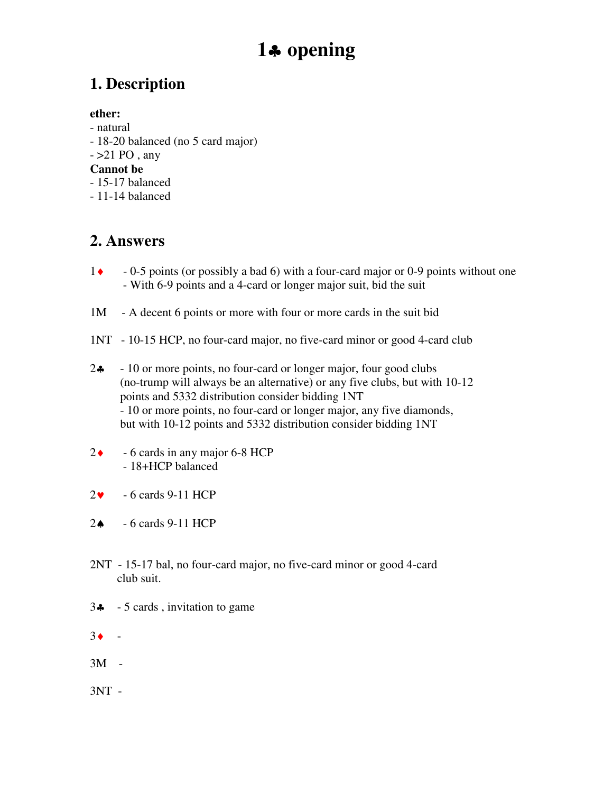# **1**♣ **opening**

# **1. Description**

#### **ether:**

- natural
- 18-20 balanced (no 5 card major)
- $-$  >21 PO, any

#### **Cannot be**

- 15-17 balanced
- 11-14 balanced

## **2. Answers**

- 1♦ 0-5 points (or possibly a bad 6) with a four-card major or 0-9 points without one - With 6-9 points and a 4-card or longer major suit, bid the suit
- 1M A decent 6 points or more with four or more cards in the suit bid
- 1NT 10-15 HCP, no four-card major, no five-card minor or good 4-card club
- 2♣ 10 or more points, no four-card or longer major, four good clubs (no-trump will always be an alternative) or any five clubs, but with 10-12 points and 5332 distribution consider bidding 1NT - 10 or more points, no four-card or longer major, any five diamonds, but with 10-12 points and 5332 distribution consider bidding 1NT
- $2\bullet$  6 cards in any major 6-8 HCP - 18+HCP balanced
- 2♥ 6 cards 9-11 HCP
- 2♠ 6 cards 9-11 HCP
- 2NT 15-17 bal, no four-card major, no five-card minor or good 4-card club suit.
- 3♣ 5 cards , invitation to game
- $3 \bullet -$
- 3M -
- 3NT -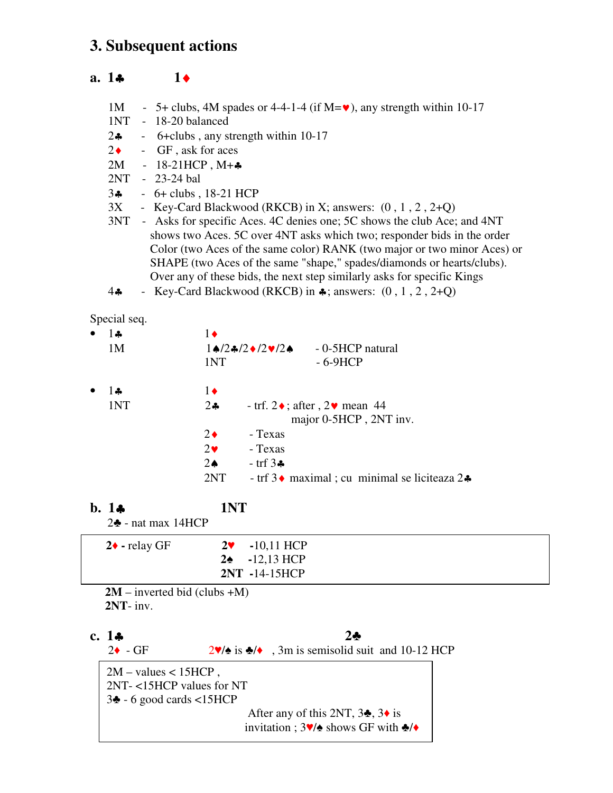## **3. Subsequent actions**

#### **a. 1**♣ **1**♦

- 1M 5+ clubs, 4M spades or 4-4-1-4 (if  $M=v$ ), any strength within 10-17
- 1NT 18-20 balanced
- 2♣ 6+clubs , any strength within 10-17
- $2 \leftarrow \text{GF}$ , ask for aces
- 2M 18-21HCP , M+♣
- 2NT 23-24 bal
- 3♣ 6+ clubs , 18-21 HCP
- $3X$  Key-Card Blackwood (RKCB) in X; answers:  $(0, 1, 2, 2+Q)$
- 3NT Asks for specific Aces. 4C denies one; 5C shows the club Ace; and 4NT shows two Aces. 5C over 4NT asks which two; responder bids in the order Color (two Aces of the same color) RANK (two major or two minor Aces) or SHAPE (two Aces of the same "shape," spades/diamonds or hearts/clubs). Over any of these bids, the next step similarly asks for specific Kings
- 4♣ Key-Card Blackwood (RKCB) in ♣; answers: (0 , 1 , 2 , 2+Q)

Special seq.

| <b>1 ÷</b><br>1M   | $1\bullet$<br>1.4/2.4/2.4/2.4<br>- 0-5HCP natural<br>$-6-9HCP$<br>1NT                                                                                        |
|--------------------|--------------------------------------------------------------------------------------------------------------------------------------------------------------|
| 1 <b>a.</b><br>1NT | $1\bullet$<br>2 <sub>o</sub><br>- trf. $2\bullet$ ; after, $2\bullet$ mean 44<br>major 0-5HCP, 2NT inv.                                                      |
|                    | $2\bullet$<br>- Texas<br>$2\bullet$<br>- Texas<br>$2\spadesuit$<br>$-$ trf $3\clubsuit$<br>2NT<br>- trf $3 \cdot$ maximal; cu minimal se liciteaza $2 \cdot$ |

## **b. 1**♣ **1NT**

2♣ - nat max 14HCP

| $2\bullet$ - relay GF | $2^{\circ}$ -10,11 HCP   |
|-----------------------|--------------------------|
|                       | $2\spadesuit$ -12,13 HCP |
|                       | <b>2NT -14-15HCP</b>     |

 **2M** – inverted bid (clubs +M) **2NT**- inv.

## **c. 1**♣ **2**♣

2 $\bullet$  - GF 2 $\vee$  is  $\bullet$ / $\bullet$  , 3m is semisolid suit and 10-12 HCP

 $2M - values < 15HCP$ , 2NT- <15HCP values for NT 3♣ - 6 good cards <15HCP After any of this 2NT,  $3\clubsuit$ ,  $3\spadesuit$  is invitation ; 3♥/♠ shows GF with ♣/♦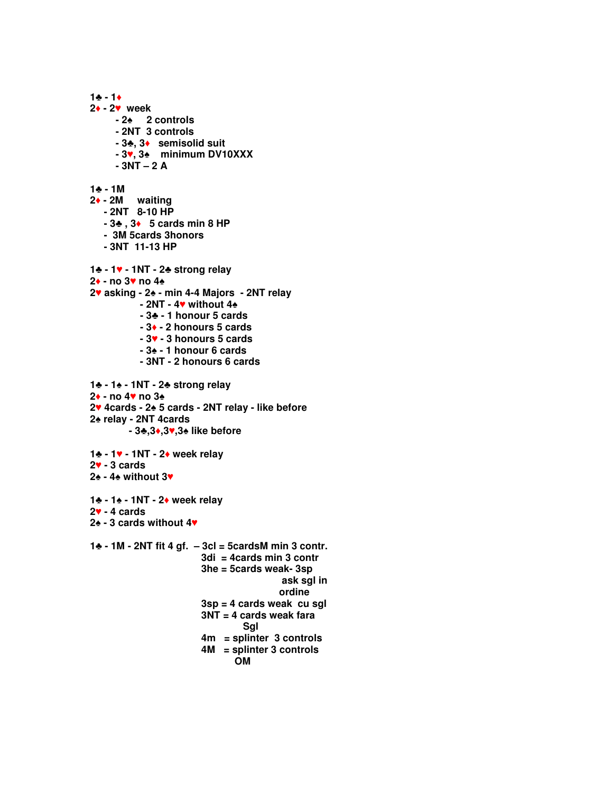**1**♣ **- 1**♦ **2**♦ **- 2**♥ **week - 2**♠ **2 controls - 2NT 3 controls - 3**♣**, 3**♦ **semisolid suit - 3**♥**, 3**♠ **minimum DV10XXX - 3NT – 2 A 1**♣ **- 1M 2**♦ **- 2M waiting - 2NT 8-10 HP - 3**♣ **, 3**♦ **5 cards min 8 HP - 3M 5cards 3honors - 3NT 11-13 HP 1**♣ **- 1**♥ **- 1NT - 2**♣ **strong relay 2**♦ **- no 3**♥ **no 4**♠ **2**♥ **asking - 2**♠ **- min 4-4 Majors - 2NT relay - 2NT - 4**♥ **without 4**♠  **- 3**♣ **- 1 honour 5 cards - 3**♦ **- 2 honours 5 cards - 3**♥ **- 3 honours 5 cards - 3**♠ **- 1 honour 6 cards - 3NT - 2 honours 6 cards 1**♣ **- 1**♠ **- 1NT - 2**♣ **strong relay 2**♦ **- no 4**♥ **no 3**♠ **2**♥ **4cards - 2**♠ **5 cards - 2NT relay - like before 2**♠ **relay - 2NT 4cards - 3**♣**,3**♦**,3**♥**,3**♠ **like before 1**♣ **- 1**♥ **- 1NT - 2**♦ **week relay 2**♥ **- 3 cards 2**♠ **- 4**♠ **without 3**♥ **1**♣ **- 1**♠ **- 1NT - 2**♦ **week relay 2**♥ **- 4 cards 2**♠ **- 3 cards without 4**♥ **1**♣ **- 1M - 2NT fit 4 gf. – 3cl = 5cardsM min 3 contr. 3di = 4cards min 3 contr 3he = 5cards weak- 3sp ask sgl in ordine 3sp = 4 cards weak cu sgl 3NT = 4 cards weak fara**  اوی است. است که است که است که است که است که است که است که است که است که است که است که است که است که است که است<br>است که است که است که است که است که است که است که است که است که است که است که است که است که است که است که است  **4m = splinter 3 controls 4M = splinter 3 controls**  *SM* OM **OM**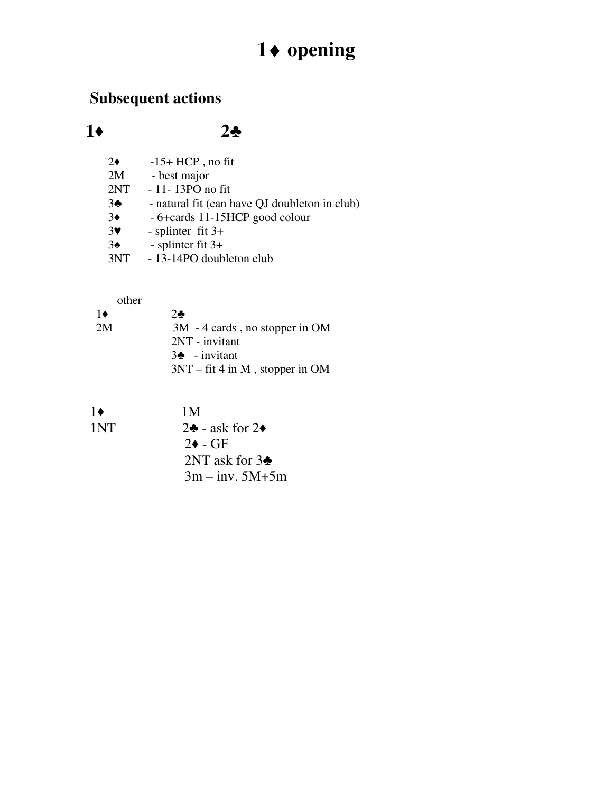# **1**♦ **opening**

# **Subsequent actions**

# **1**♦ **2**♣

- $2\bullet$  -15+ HCP, no fit
- 2M best major<br>2NT 11-13PO n
- 11- 13PO no fit
- 3♣ natural fit (can have QJ doubleton in club)
- 3♦ 6+cards 11-15HCP good colour
- $3\bullet$  splinter fit  $3+$
- $3\spadesuit$  splinter fit 3+
- 3NT 13-14PO doubleton club

#### other

| $1\bullet$ | 2.5                               |
|------------|-----------------------------------|
| 2M         | 3M - 4 cards, no stopper in OM    |
|            | 2NT - invitant                    |
|            | $3\bullet$ - invitant             |
|            | $3NT - fit 4$ in M, stopper in OM |

| $1\bullet$ |  |
|------------|--|
|------------|--|

 $1 \bullet$  1M<br>1NT  $2 \bullet$  $2$ **♣** - ask for  $2\blacklozenge$  $2\blacklozenge$  - GF 2NT ask for 3♣  $3m - inv. 5M + 5m$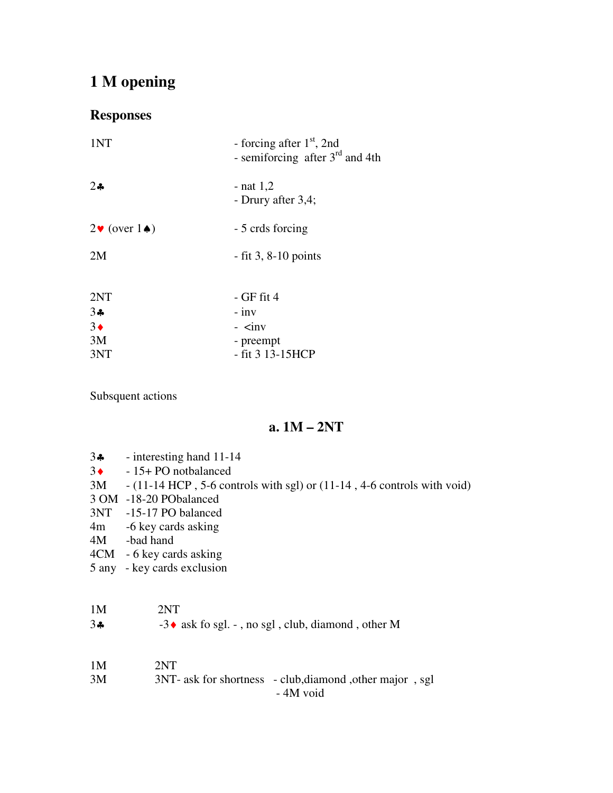# **1 M opening**

#### **Responses**

| 1NT                                             | - forcing after $1st$ , 2nd<br>- semiforcing after $3rd$ and 4th |
|-------------------------------------------------|------------------------------------------------------------------|
| $2\bullet$                                      | - nat $1,2$<br>- Drury after 3,4;                                |
| $2\blacktriangledown$ (over $1\blacktriangle$ ) | - 5 crds forcing                                                 |
| 2M                                              | $-$ fit 3, 8-10 points                                           |
|                                                 |                                                                  |
| 2NT                                             | - GF fit 4                                                       |
| 34                                              | $-$ inv                                                          |
| $3\bullet$                                      | $ \sin$ v                                                        |
| 3M                                              | - preempt                                                        |
| 3NT                                             | - fit 3 13-15HCP                                                 |

Subsquent actions

### **a. 1M – 2NT**

- 3♣ interesting hand 11-14
- 3♦ 15+ PO notbalanced
- 3M (11-14 HCP , 5-6 controls with sgl) or (11-14 , 4-6 controls with void)
- 3 OM -18-20 PObalanced
- 3NT -15-17 PO balanced
- 4m -6 key cards asking
- 4M -bad hand
- 4CM 6 key cards asking
- 5 any key cards exclusion

1M 2NT 3 $\clubsuit$  -3 $\bullet$  ask fo sgl. - , no sgl , club, diamond , other M

| 1M | 2NT |                                                          |  |
|----|-----|----------------------------------------------------------|--|
| 3M |     | 3NT- ask for shortness - club, diamond, other major, sgl |  |
|    |     | - 4M void                                                |  |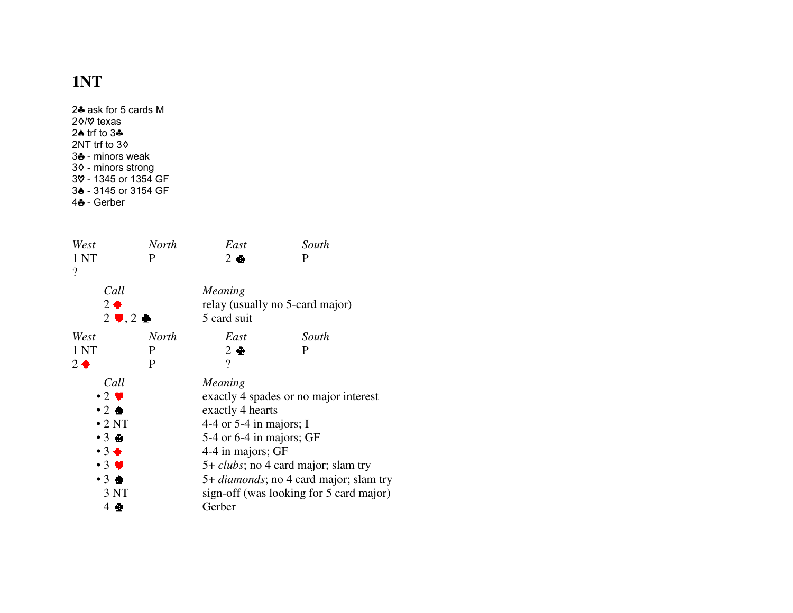# **1NT**

2<sup>3</sup> ask for 5 cards M 2◊/♡ texas  $2\spadesuit$  trf to  $3\clubsuit$ 2NT trf to 3 $\diamond$ 3 $\clubsuit$  - minors weak 3<mark>0 - minors strong</mark><br>3**0** - 1345 or 1354 GF 3 $\spadesuit$  - 3145 or 3154 GF 4} - Gerber

| West<br>1 NT<br>$\overline{\mathcal{L}}$                                                                                                                         | <b>North</b><br>P     | East<br>$2 - 1$                                                                                           | South<br>P                                                                                                                             |  |
|------------------------------------------------------------------------------------------------------------------------------------------------------------------|-----------------------|-----------------------------------------------------------------------------------------------------------|----------------------------------------------------------------------------------------------------------------------------------------|--|
| Call<br>$2 \bullet$                                                                                                                                              | $2 \bullet 2 \bullet$ | Meaning<br>5 card suit                                                                                    | relay (usually no 5-card major)                                                                                                        |  |
| West                                                                                                                                                             | <b>North</b>          | East                                                                                                      | South                                                                                                                                  |  |
| 1 <sub>NT</sub>                                                                                                                                                  | P                     | $2 -$                                                                                                     | P                                                                                                                                      |  |
| $2 \bullet$                                                                                                                                                      | P                     | $\gamma$                                                                                                  |                                                                                                                                        |  |
| Call<br>$\cdot$ 2 $\bullet$<br>$\bullet$ 2 $\bullet$<br>$\cdot$ 2 NT<br>$\cdot$ 3 $\bullet$<br>$\cdot$ 3 $\bullet$<br>$\cdot$ 3 $\bullet$<br>$\cdot$ 3 $\bullet$ |                       | Meaning<br>exactly 4 hearts<br>4-4 or $5-4$ in majors; I<br>5-4 or 6-4 in majors; GF<br>4-4 in majors; GF | exactly 4 spades or no major interest<br>5+ <i>clubs</i> ; no 4 card major; slam try<br>5+ <i>diamonds</i> ; no 4 card major; slam try |  |
| 3 NT                                                                                                                                                             |                       | sign-off (was looking for 5 card major)                                                                   |                                                                                                                                        |  |
| 4 +                                                                                                                                                              |                       | Gerber                                                                                                    |                                                                                                                                        |  |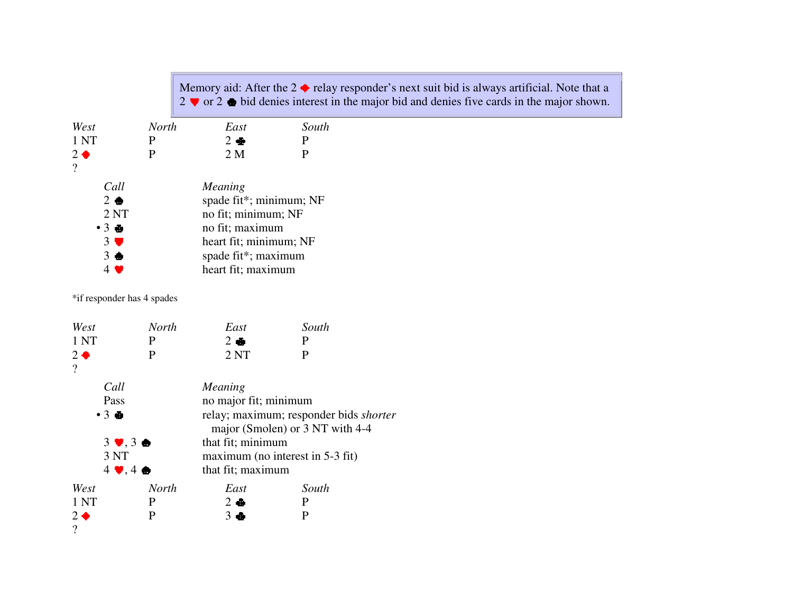|                               |                            |                                               | Memory aid: After the $2 \blacklozenge$ relay responder's next suit bid is always artificial. Note that a<br>$2 \vee \text{ or } 2 \triangle$ bid denies interest in the major bid and denies five cards in the major shown. |
|-------------------------------|----------------------------|-----------------------------------------------|------------------------------------------------------------------------------------------------------------------------------------------------------------------------------------------------------------------------------|
| West                          | <b>North</b>               | East                                          | South                                                                                                                                                                                                                        |
| 1 NT                          | $\mathbf P$                | $2 - 1$                                       | $\mathbf{P}$                                                                                                                                                                                                                 |
| $2 \bullet$<br>$\overline{?}$ | $\mathbf{P}$               | 2M                                            | $\mathbf{P}$                                                                                                                                                                                                                 |
| Call                          |                            | Meaning                                       |                                                                                                                                                                                                                              |
| $2 \triangle$                 |                            | spade fit*; minimum; NF                       |                                                                                                                                                                                                                              |
| 2NT<br>$•3 +$                 |                            | no fit; minimum; NF                           |                                                                                                                                                                                                                              |
| $\mathfrak{Z}$<br>V           |                            | no fit; maximum                               |                                                                                                                                                                                                                              |
| $3 -$                         |                            | heart fit; minimum; NF<br>spade fit*; maximum |                                                                                                                                                                                                                              |
| $4$ $\blacktriangledown$      |                            | heart fit; maximum                            |                                                                                                                                                                                                                              |
|                               |                            |                                               |                                                                                                                                                                                                                              |
|                               | *if responder has 4 spades |                                               |                                                                                                                                                                                                                              |
| West                          | <b>North</b>               | East                                          | South                                                                                                                                                                                                                        |
| 1 <sub>NT</sub>               | ${\bf P}$                  | $2 - 1$                                       | $\mathbf{P}$                                                                                                                                                                                                                 |
| $2 \bullet$<br>$\overline{?}$ | $\mathbf{P}$               | 2NT                                           | $\mathbf{P}$                                                                                                                                                                                                                 |
| Call                          |                            | Meaning                                       |                                                                                                                                                                                                                              |
| Pass                          |                            | no major fit; minimum                         |                                                                                                                                                                                                                              |
| $•3 +$                        |                            |                                               | relay; maximum; responder bids shorter<br>major (Smolen) or 3 NT with 4-4                                                                                                                                                    |
|                               | $3 \vee 3$                 | that fit; minimum                             |                                                                                                                                                                                                                              |
| 3 NT                          |                            |                                               | maximum (no interest in 5-3 fit)                                                                                                                                                                                             |
|                               | $4 \bullet 4 \bullet$      | that fit; maximum                             |                                                                                                                                                                                                                              |
| West                          | North                      | East                                          | South                                                                                                                                                                                                                        |
| 1 <sub>NT</sub>               | $\mathbf P$                | $2 - 1$                                       | ${\bf P}$                                                                                                                                                                                                                    |
| $2 \bullet$<br>$\overline{?}$ | $\mathbf{P}$               | $3 - 1$                                       | $\mathbf{P}$                                                                                                                                                                                                                 |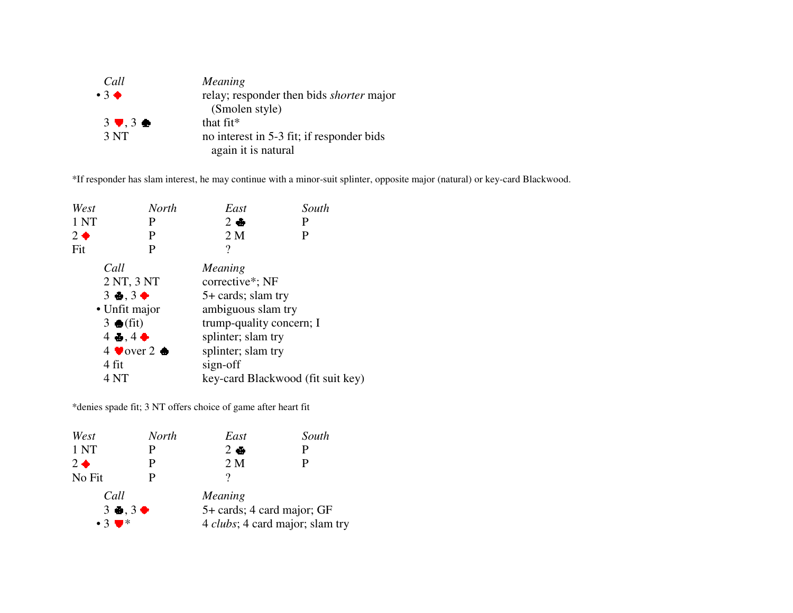| Call                  | Meaning                                         |
|-----------------------|-------------------------------------------------|
| $\bullet$ 3 $\bullet$ | relay; responder then bids <i>shorter</i> major |
|                       | (Smolen style)                                  |
| $3 \vee 3 =$          | that $fit*$                                     |
| 3 <sub>N</sub> T      | no interest in 5-3 fit; if responder bids       |
|                       | again it is natural                             |

\*If responder has slam interest, he may continue with a minor-suit splinter, opposite major (natural) or key-card Blackwood.

| West            | <b>North</b>             | East                              | South |
|-----------------|--------------------------|-----------------------------------|-------|
| 1 <sub>NT</sub> | P                        | $2 \div$                          | P     |
| $2 \bullet$     | P                        | 2 M                               | P     |
| Fit             | P                        | ?                                 |       |
|                 | Call                     | Meaning                           |       |
|                 | 2 NT, 3 NT               | corrective*; NF                   |       |
|                 | $3 \pm 3$                | $5+$ cards; slam try              |       |
|                 | • Unfit major            | ambiguous slam try                |       |
|                 | $3 \bullet$ (fit)        | trump-quality concern; I          |       |
|                 | $4, 4$ +                 | splinter; slam try                |       |
|                 | $4$ V over $2 \triangle$ | splinter; slam try                |       |
|                 | 4 fit                    | sign-off                          |       |
|                 | 4 NT                     | key-card Blackwood (fit suit key) |       |

\*denies spade fit; 3 NT offers choice of game after heart fit

| West            | <b>North</b> | East                                    | South |
|-----------------|--------------|-----------------------------------------|-------|
| 1 <sub>NT</sub> |              | $2 \oplus$                              | Р     |
| $2 \bullet$     |              | 2 M                                     | р     |
| No Fit          |              | ?                                       |       |
| Call            |              | Meaning                                 |       |
| $3 \pm 3$       |              | 5+ cards; 4 card major; GF              |       |
| $\bullet$ 3     |              | 4 <i>clubs</i> ; 4 card major; slam try |       |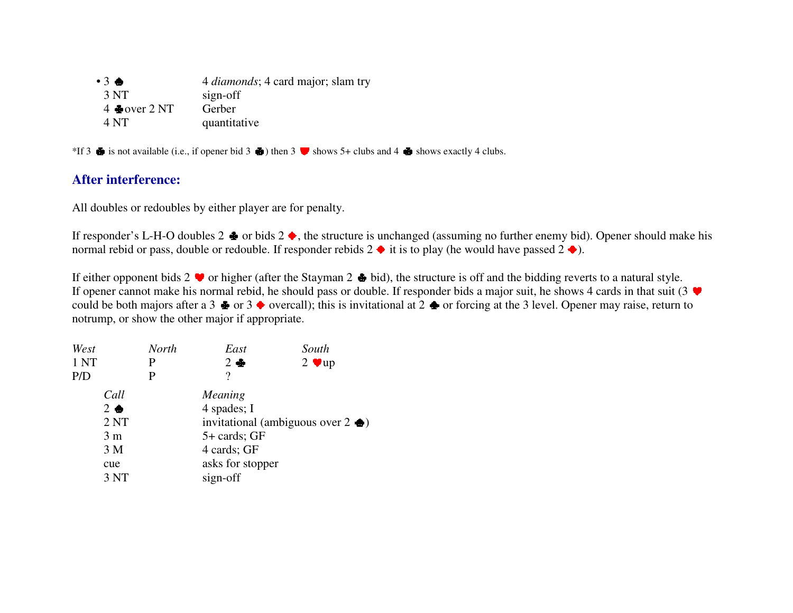| $\bullet$ 3 $\bullet$  | 4 <i>diamonds</i> ; 4 card major; slam try |
|------------------------|--------------------------------------------|
| 3 <sub>N</sub> T       | sign-off                                   |
| $4 \cdot 1$ over $2NT$ | Gerber                                     |
| 4 NT                   | quantitative                               |

\*If 3  $\bullet$  is not available (i.e., if opener bid 3  $\bullet$ ) then 3  $\bullet$  shows 5+ clubs and 4  $\bullet$  shows exactly 4 clubs.

#### **After interference:**

All doubles or redoubles by either player are for penalty.

If responder's L-H-O doubles 2  $\bullet$  or bids 2  $\bullet$ , the structure is unchanged (assuming no further enemy bid). Opener should make his normal rebid or pass, double or redouble. If responder rebids  $2 \bullet$  it is to play (he would have passed  $2 \bullet$ ).

If either opponent bids 2  $\blacktriangledown$  or higher (after the Stayman 2  $\blacktriangle$  bid), the structure is off and the bidding reverts to a natural style. If opener cannot make his normal rebid, he should pass or double. If responder bids a major suit, he shows 4 cards in that suit (3 could be both majors after a 3  $\bullet$  or 3  $\bullet$  overcall); this is invitational at 2  $\bullet$  or forcing at the 3 level. Opener may raise, return to notrump, or show the other major if appropriate.

| West |                | <b>North</b> | East                                          | South                            |
|------|----------------|--------------|-----------------------------------------------|----------------------------------|
| 1 NT |                | P            | $2 \cdot \bullet$                             | $2 \blacktriangledown \text{up}$ |
| P/D  |                | P            | ?                                             |                                  |
|      | Call           |              | Meaning                                       |                                  |
|      | $2 \bullet$    |              | 4 spades; I                                   |                                  |
|      | 2NT            |              | invitational (ambiguous over $2 \triangleq$ ) |                                  |
|      | 3 <sub>m</sub> |              | 5+ cards; GF                                  |                                  |
|      | 3 M            |              | 4 cards; GF                                   |                                  |
|      | cue            |              | asks for stopper                              |                                  |
|      | 3 NT           |              | sign-off                                      |                                  |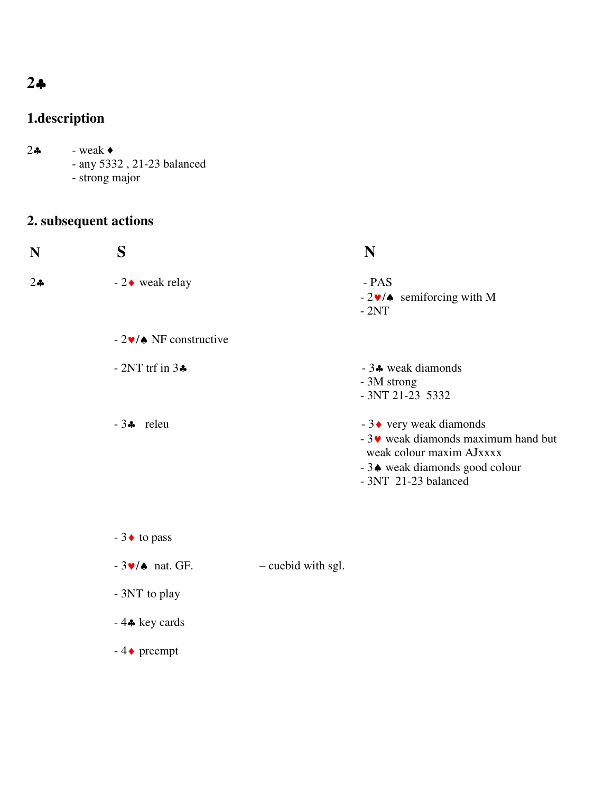# **2**♣

# **1.description**

- 2♣ weak ♦
	- any 5332 , 21-23 balanced
	- strong major

# **2. subsequent actions**

| N   | S                          | N                                                                                                                                                     |
|-----|----------------------------|-------------------------------------------------------------------------------------------------------------------------------------------------------|
| 2.4 | $-2$ weak relay            | - PAS<br>$-2\blacktriangleright\blacktriangle$ semiforcing with M<br>$-2NT$                                                                           |
|     | $-2\nu/$ NF constructive   |                                                                                                                                                       |
|     | $-2NT$ trf in $3\clubsuit$ | $-3$ weak diamonds<br>- 3M strong<br>$-3NT$ 21-23 5332                                                                                                |
|     | $-3$ $\bullet$ releu       | $-3$ very weak diamonds<br>$-3$ weak diamonds maximum hand but<br>weak colour maxim AJxxxx<br>- 3. weak diamonds good colour<br>$-3NT$ 21-23 balanced |

- 3 $\bullet$  to pass
- $-3 \cdot \sqrt{4}$  nat. GF. cuebid with sgl.
- 3NT to play
- 4♣ key cards
- $-4\bullet$  preempt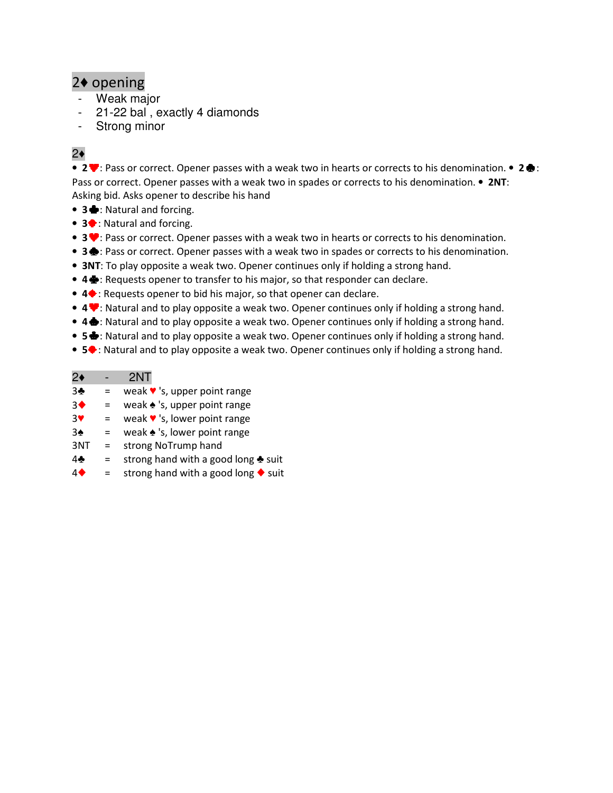## 2♦ opening

- Weak major
- 21-22 bal , exactly 4 diamonds
- Strong minor

## 2♦

• 2  $\blacktriangledown$ : Pass or correct. Opener passes with a weak two in hearts or corrects to his denomination. • 2  $\blacktriangle$ : Pass or correct. Opener passes with a weak two in spades or corrects to his denomination. • 2NT: Asking bid. Asks opener to describe his hand

- 3  $\div$ : Natural and forcing.
- 3<sup>•</sup>: Natural and forcing.
- 3  $\blacktriangledown$ : Pass or correct. Opener passes with a weak two in hearts or corrects to his denomination.
- 3  $\div$ : Pass or correct. Opener passes with a weak two in spades or corrects to his denomination.
- 3NT: To play opposite a weak two. Opener continues only if holding a strong hand.
- 4  $\bullet$ : Requests opener to transfer to his major, so that responder can declare.
- $\bullet$  4 $\bullet$ : Requests opener to bid his major, so that opener can declare.
- 4 **.** Natural and to play opposite a weak two. Opener continues only if holding a strong hand.
- 4 : Natural and to play opposite a weak two. Opener continues only if holding a strong hand.
- 5  $\clubsuit$ : Natural and to play opposite a weak two. Opener continues only if holding a strong hand.
- 5<sup> $\bullet$ </sup>: Natural and to play opposite a weak two. Opener continues only if holding a strong hand.

| 2♦ | 2NT                                             |
|----|-------------------------------------------------|
| 3♣ | weak $\blacktriangledown$ 's, upper point range |
| 30 | weak $\triangle$ 's, upper point range          |
| 3♥ | weak $\blacktriangledown$ 's, lower point range |
| 3♠ | weak $\triangle$ 's, lower point range          |

- 3NT = strong NoTrump hand
- 4♣ = strong hand with a good long ♣ suit
- $4 \bullet =$  strong hand with a good long  $\bullet$  suit